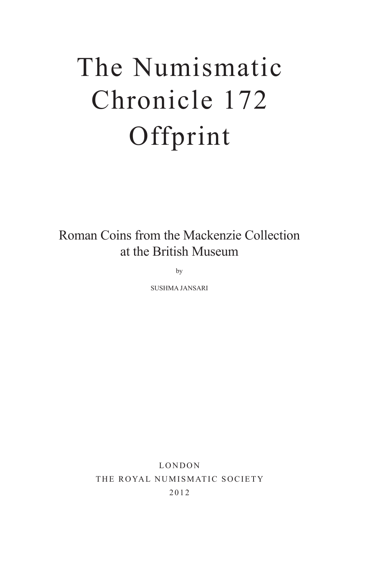# The Numismatic Chronicle 172 Offprint

Roman Coins from the Mackenzie Collection at the British Museum

by

SUSHMA JANSARI

LONDON THE ROYAL NUMISMATIC SOCIETY 2012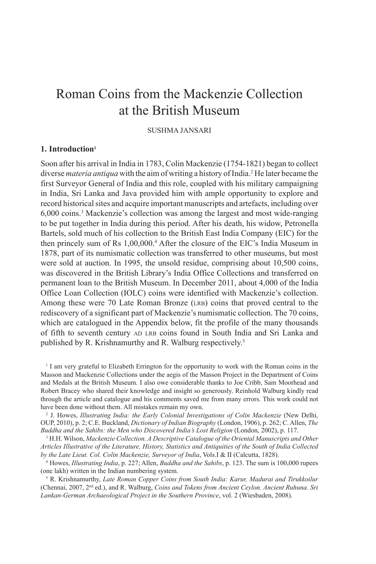# Roman Coins from the Mackenzie Collection at the British Museum

# SUSHMA JANSARI

# **1. Introduction1**

Soon after his arrival in India in 1783, Colin Mackenzie (1754-1821) began to collect diverse *materia antiqua* with the aim of writing a history of India.2 He later became the first Surveyor General of India and this role, coupled with his military campaigning in India, Sri Lanka and Java provided him with ample opportunity to explore and record historical sites and acquire important manuscripts and artefacts, including over 6,000 coins.3 Mackenzie's collection was among the largest and most wide-ranging to be put together in India during this period. After his death, his widow, Petronella Bartels, sold much of his collection to the British East India Company (EIC) for the then princely sum of Rs 1,00,000.<sup>4</sup> After the closure of the EIC's India Museum in 1878, part of its numismatic collection was transferred to other museums, but most were sold at auction. In 1995, the unsold residue, comprising about 10,500 coins, was discovered in the British Library's India Office Collections and transferred on permanent loan to the British Museum. In December 2011, about 4,000 of the India Office Loan Collection (IOLC) coins were identified with Mackenzie's collection. Among these were 70 Late Roman Bronze (LRB) coins that proved central to the rediscovery of a significant part of Mackenzie's numismatic collection. The 70 coins, which are catalogued in the Appendix below, fit the profile of the many thousands of fifth to seventh century AD LRB coins found in South India and Sri Lanka and published by R. Krishnamurthy and R. Walburg respectively.5

<sup>1</sup> I am very grateful to Elizabeth Errington for the opportunity to work with the Roman coins in the Masson and Mackenzie Collections under the aegis of the Masson Project in the Department of Coins and Medals at the British Museum. I also owe considerable thanks to Joe Cribb, Sam Moorhead and Robert Bracey who shared their knowledge and insight so generously. Reinhold Walburg kindly read through the article and catalogue and his comments saved me from many errors. This work could not have been done without them. All mistakes remain my own.

2 J. Howes, *Illustrating India: the Early Colonial Investigations of Colin Mackenzie* (New Delhi, OUP, 2010), p. 2; C.E. Buckland, *Dictionary of Indian Biography* (London, 1906), p. 262; C. Allen, *The Buddha and the Sahibs: the Men who Discovered India's Lost Religion* (London, 2002), p. 117.

3 H.H. Wilson, *Mackenzie Collection. A Descriptive Catalogue of the Oriental Manuscripts and Other Articles Illustrative of the Literature, History, Statistics and Antiquities of the South of India Collected by the Late Lieut. Col. Colin Mackenzie, Surveyor of India*, Vols.I & II (Calcutta, 1828).

4 Howes, *Illustrating India*, p. 227; Allen, *Buddha and the Sahibs*, p. 123. The sum is 100,000 rupees (one lakh) written in the Indian numbering system.

<sup>5</sup> R. Krishnamurthy, *Late Roman Copper Coins from South India: Karur, Madurai and Tirukkoilur* (Chennai, 2007, 2nd ed.), and R. Walburg, *Coins and Tokens from Ancient Ceylon. Ancient Ruhuna. Sri Lankan-German Archaeological Project in the Southern Province*, vol. 2 (Wiesbaden, 2008).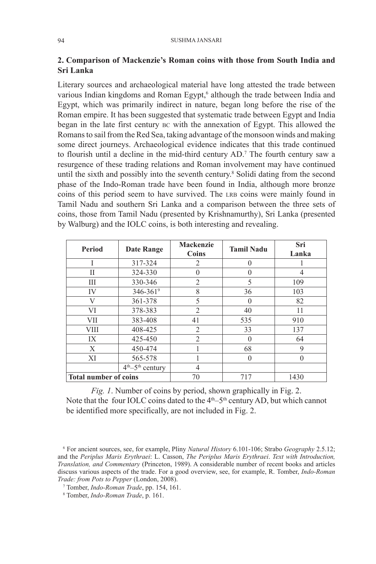# **2. Comparison of Mackenzie's Roman coins with those from South India and Sri Lanka**

Literary sources and archaeological material have long attested the trade between various Indian kingdoms and Roman Egypt,<sup>6</sup> although the trade between India and Egypt, which was primarily indirect in nature, began long before the rise of the Roman empire. It has been suggested that systematic trade between Egypt and India began in the late first century BC with the annexation of Egypt. This allowed the Romans to sail from the Red Sea, taking advantage of the monsoon winds and making some direct journeys. Archaeological evidence indicates that this trade continued to flourish until a decline in the mid-third century AD.7 The fourth century saw a resurgence of these trading relations and Roman involvement may have continued until the sixth and possibly into the seventh century.8 Solidi dating from the second phase of the Indo-Roman trade have been found in India, although more bronze coins of this period seem to have survived. The LRB coins were mainly found in Tamil Nadu and southern Sri Lanka and a comparison between the three sets of coins, those from Tamil Nadu (presented by Krishnamurthy), Sri Lanka (presented by Walburg) and the IOLC coins, is both interesting and revealing.

| <b>Period</b>                | <b>Date Range</b>   | <b>Mackenzie</b><br>Coins | <b>Tamil Nadu</b> | Sri<br>Lanka |
|------------------------------|---------------------|---------------------------|-------------------|--------------|
|                              | 317-324             | $\mathfrak{D}$            | $\theta$          |              |
| Н                            | 324-330             |                           | $\Omega$          | 4            |
| Ш                            | 330-346             | $\mathfrak{D}$            | 5                 | 109          |
| IV                           | 346-3619            | 8                         | 36                | 103          |
| V                            | 361-378             | 5                         | $\theta$          | 82           |
| VI                           | 378-383             | $\overline{2}$            | 40                | 11           |
| VII                          | 383-408             | 41                        | 535               | 910          |
| VIII                         | 408-425             | $\overline{2}$            | 33                | 137          |
| IX                           | 425-450             | $\overline{2}$            | $\Omega$          | 64           |
| X                            | 450-474             |                           | 68                | 9            |
| XI                           | 565-578             |                           | $\theta$          | 0            |
|                              | $4th - 5th$ century | 4                         |                   |              |
| <b>Total number of coins</b> |                     | 70                        | 717               | 1430         |

*Fig. 1*. Number of coins by period, shown graphically in Fig. 2. Note that the four IOLC coins dated to the  $4<sup>th</sup> – 5<sup>th</sup>$  century AD, but which cannot be identified more specifically, are not included in Fig. 2.

<sup>6</sup> For ancient sources, see, for example, Pliny *Natural History* 6.101-106; Strabo *Geography* 2.5.12; and the *Periplus Maris Erythraei*: L. Casson, *The Periplus Maris Erythraei*. *Text with Introduction, Translation, and Commentary* (Princeton, 1989). A considerable number of recent books and articles discuss various aspects of the trade. For a good overview, see, for example, R. Tomber, *Indo-Roman Trade: from Pots to Pepper* (London, 2008).

<sup>7</sup> Tomber, *Indo-Roman Trade*, pp. 154, 161.

<sup>8</sup> Tomber, *Indo-Roman Trade*, p. 161.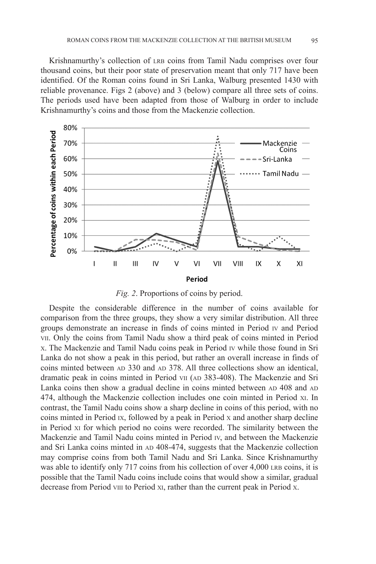Krishnamurthy's collection of LRB coins from Tamil Nadu comprises over four thousand coins, but their poor state of preservation meant that only 717 have been identified. Of the Roman coins found in Sri Lanka, Walburg presented 1430 with reliable provenance. Figs 2 (above) and 3 (below) compare all three sets of coins. The periods used have been adapted from those of Walburg in order to include Krishnamurthy's coins and those from the Mackenzie collection.



*Fig. 2*. Proportions of coins by period.

Despite the considerable difference in the number of coins available for comparison from the three groups, they show a very similar distribution. All three groups demonstrate an increase in finds of coins minted in Period IV and Period VII. Only the coins from Tamil Nadu show a third peak of coins minted in Period X. The Mackenzie and Tamil Nadu coins peak in Period IV while those found in Sri Lanka do not show a peak in this period, but rather an overall increase in finds of coins minted between AD 330 and AD 378. All three collections show an identical, dramatic peak in coins minted in Period VII (AD 383-408). The Mackenzie and Sri Lanka coins then show a gradual decline in coins minted between AD 408 and AD 474, although the Mackenzie collection includes one coin minted in Period XI. In contrast, the Tamil Nadu coins show a sharp decline in coins of this period, with no coins minted in Period IX, followed by a peak in Period X and another sharp decline in Period XI for which period no coins were recorded. The similarity between the Mackenzie and Tamil Nadu coins minted in Period IV, and between the Mackenzie and Sri Lanka coins minted in AD 408-474, suggests that the Mackenzie collection may comprise coins from both Tamil Nadu and Sri Lanka. Since Krishnamurthy was able to identify only 717 coins from his collection of over 4,000 LRB coins, it is possible that the Tamil Nadu coins include coins that would show a similar, gradual decrease from Period VIII to Period XI, rather than the current peak in Period X.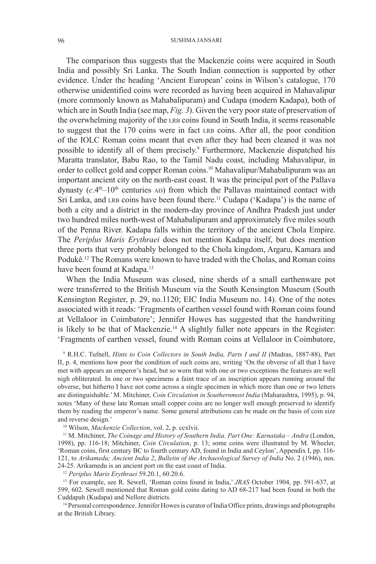#### 96 SUSHMA JANSARI

The comparison thus suggests that the Mackenzie coins were acquired in South India and possibly Sri Lanka. The South Indian connection is supported by other evidence. Under the heading 'Ancient European' coins in Wilson's catalogue, 170 otherwise unidentified coins were recorded as having been acquired in Mahavalipur (more commonly known as Mahabalipuram) and Cudapa (modern Kadapa), both of which are in South India (see map, *Fig. 3*). Given the very poor state of preservation of the overwhelming majority of the LRB coins found in South India, it seems reasonable to suggest that the 170 coins were in fact LRB coins. After all, the poor condition of the IOLC Roman coins meant that even after they had been cleaned it was not possible to identify all of them precisely.<sup>9</sup> Furthermore, Mackenzie dispatched his Maratta translator, Babu Rao, to the Tamil Nadu coast, including Mahavalipur, in order to collect gold and copper Roman coins.10 Mahavalipur/Mahabalipuram was an important ancient city on the north-east coast. It was the principal port of the Pallava dynasty  $(c.4<sup>th</sup>-10<sup>th</sup>$  centuries AD) from which the Pallavas maintained contact with Sri Lanka, and LRB coins have been found there.<sup>11</sup> Cudapa ('Kadapa') is the name of both a city and a district in the modern-day province of Andhra Pradesh just under two hundred miles north-west of Mahabalipuram and approximately five miles south of the Penna River. Kadapa falls within the territory of the ancient Chola Empire. The *Periplus Maris Erythraei* does not mention Kadapa itself, but does mention three ports that very probably belonged to the Chola kingdom, Argaru, Kamara and Podukê.12 The Romans were known to have traded with the Cholas, and Roman coins have been found at Kadapa.<sup>13</sup>

When the India Museum was closed, nine sherds of a small earthenware pot were transferred to the British Museum via the South Kensington Museum (South Kensington Register, p. 29, no.1120; EIC India Museum no. 14). One of the notes associated with it reads: 'Fragments of earthen vessel found with Roman coins found at Vellaloor in Coimbatore'; Jennifer Howes has suggested that the handwriting is likely to be that of Mackenzie.<sup>14</sup> A slightly fuller note appears in the Register: 'Fragments of earthen vessel, found with Roman coins at Vellaloor in Coimbatore,

9 R.H.C. Tufnell, *Hints to Coin Collectors in South India, Parts I and II* (Madras, 1887-88), Part II, p. 4, mentions how poor the condition of such coins are, writing 'On the obverse of all that I have met with appears an emperor's head, but so worn that with one or two exceptions the features are well nigh obliterated. In one or two specimens a faint trace of an inscription appears running around the obverse, but hitherto I have not come across a single specimen in which more than one or two letters are distinguishable.' M. Mitchiner, *Coin Circulation in Southernmost India* (Maharashtra, 1995), p. 94, notes 'Many of these late Roman small copper coins are no longer well enough preserved to identify them by reading the emperor's name. Some general attributions can be made on the basis of coin size and reverse design.'

10 Wilson, *Mackenzie Collection*, vol. 2, p. ccxlvii.

11 M. Mitchiner, *The Coinage and History of Southern India. Part One: Karnataka – Andra* (London, 1998), pp. 116-18; Mitchiner, *Coin Circulation*, p. 13; some coins were illustrated by M. Wheeler, 'Roman coins, first century BC to fourth century AD, found in India and Ceylon', Appendix I, pp. 116- 121, to *Arikamedu; Ancient India 2*, *Bulletin of the Archaeological Survey of India* No. 2 (1946), nos. 24-25. Arikamedu is an ancient port on the east coast of India.

<sup>12</sup> *Periplus Maris Erythraei* 59.20.1, 60.20.6.

<sup>13</sup> For example, see R. Sewell, 'Roman coins found in India,' *JRAS* October 1904, pp. 591-637, at 599, 602. Sewell mentioned that Roman gold coins dating to AD 68-217 had been found in both the Cuddapah (Kudapa) and Nellore districts.

14 Personal correspondence. Jennifer Howes is curator of India Office prints, drawings and photographs at the British Library.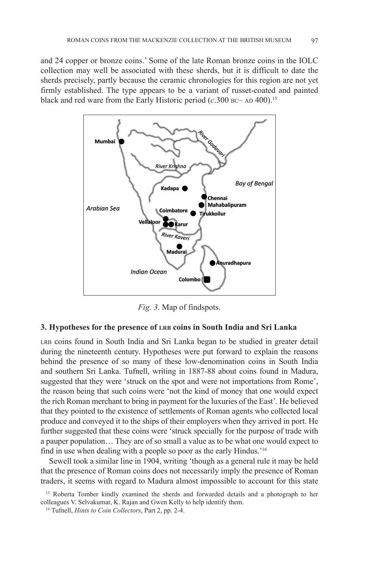and 24 copper or bronze coins.' Some of the late Roman bronze coins in the IOLC collection may well be associated with these sherds, but it is difficult to date the sherds precisely, partly because the ceramic chronologies for this region are not yet firmly established. The type appears to be a variant of russet-coated and painted black and red ware from the Early Historic period  $(c.300$  BC– AD 400).<sup>15</sup>



*Fig. 3*. Map of findspots.

# **3. Hypotheses for the presence of LRB coins in South India and Sri Lanka**

LRB coins found in South India and Sri Lanka began to be studied in greater detail during the nineteenth century. Hypotheses were put forward to explain the reasons behind the presence of so many of these low-denomination coins in South India and southern Sri Lanka. Tufnell, writing in 1887-88 about coins found in Madura, suggested that they were 'struck on the spot and were not importations from Rome', the reason being that such coins were 'not the kind of money that one would expect the rich Roman merchant to bring in payment for the luxuries of the East'. He believed that they pointed to the existence of settlements of Roman agents who collected local produce and conveyed it to the ships of their employers when they arrived in port. He further suggested that these coins were 'struck specially for the purpose of trade with a pauper population… They are of so small a value as to be what one would expect to find in use when dealing with a people so poor as the early Hindus.'16

Sewell took a similar line in 1904, writing 'though as a general rule it may be held that the presence of Roman coins does not necessarily imply the presence of Roman traders, it seems with regard to Madura almost impossible to account for this state

<sup>15</sup> Roberta Tomber kindly examined the sherds and forwarded details and a photograph to her colleagues V. Selvakumar, K. Rajan and Gwen Kelly to help identify them.

<sup>16</sup> Tufnell, *Hints to Coin Collectors*, Part 2, pp. 2-4.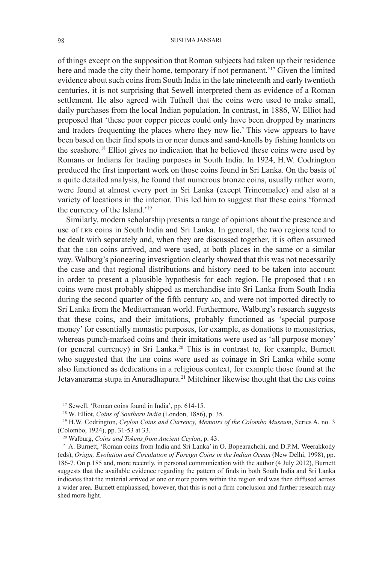of things except on the supposition that Roman subjects had taken up their residence here and made the city their home, temporary if not permanent.<sup>'17</sup> Given the limited evidence about such coins from South India in the late nineteenth and early twentieth centuries, it is not surprising that Sewell interpreted them as evidence of a Roman settlement. He also agreed with Tufnell that the coins were used to make small, daily purchases from the local Indian population. In contrast, in 1886, W. Elliot had proposed that 'these poor copper pieces could only have been dropped by mariners and traders frequenting the places where they now lie.' This view appears to have been based on their find spots in or near dunes and sand-knolls by fishing hamlets on the seashore.18 Elliot gives no indication that he believed these coins were used by Romans or Indians for trading purposes in South India. In 1924, H.W. Codrington produced the first important work on those coins found in Sri Lanka. On the basis of a quite detailed analysis, he found that numerous bronze coins, usually rather worn, were found at almost every port in Sri Lanka (except Trincomalee) and also at a variety of locations in the interior. This led him to suggest that these coins 'formed the currency of the Island.'19

Similarly, modern scholarship presents a range of opinions about the presence and use of LRB coins in South India and Sri Lanka. In general, the two regions tend to be dealt with separately and, when they are discussed together, it is often assumed that the LRB coins arrived, and were used, at both places in the same or a similar way. Walburg's pioneering investigation clearly showed that this was not necessarily the case and that regional distributions and history need to be taken into account in order to present a plausible hypothesis for each region. He proposed that LRB coins were most probably shipped as merchandise into Sri Lanka from South India during the second quarter of the fifth century AD, and were not imported directly to Sri Lanka from the Mediterranean world. Furthermore, Walburg's research suggests that these coins, and their imitations, probably functioned as 'special purpose money' for essentially monastic purposes, for example, as donations to monasteries, whereas punch-marked coins and their imitations were used as 'all purpose money' (or general currency) in Sri Lanka.20 This is in contrast to, for example, Burnett who suggested that the LRB coins were used as coinage in Sri Lanka while some also functioned as dedications in a religious context, for example those found at the Jetavanarama stupa in Anuradhapura.<sup>21</sup> Mitchiner likewise thought that the LRB coins

17 Sewell, 'Roman coins found in India', pp. 614-15.

18 W. Elliot, *Coins of Southern India* (London, 1886), p. 35.

19 H.W. Codrington, *Ceylon Coins and Currency, Memoirs of the Colombo Museum*, Series A, no. 3 (Colombo, 1924), pp. 31-53 at 33.

20 Walburg, *Coins and Tokens from Ancient Ceylon*, p. 43.

21 A. Burnett, 'Roman coins from India and Sri Lanka' in O. Bopearachchi, and D.P.M. Weerakkody (eds), *Origin, Evolution and Circulation of Foreign Coins in the Indian Ocean* (New Delhi, 1998), pp. 186-7. On p.185 and, more recently, in personal communication with the author (4 July 2012), Burnett suggests that the available evidence regarding the pattern of finds in both South India and Sri Lanka indicates that the material arrived at one or more points within the region and was then diffused across a wider area. Burnett emphasised, however, that this is not a firm conclusion and further research may shed more light.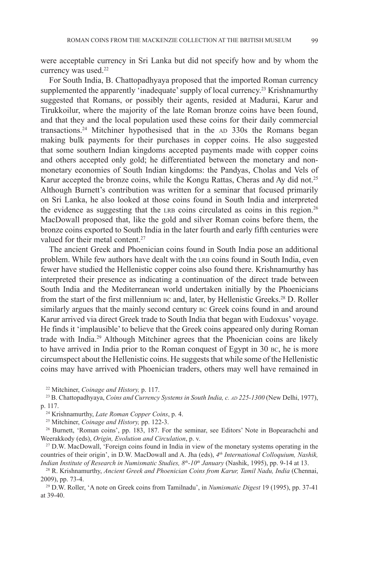were acceptable currency in Sri Lanka but did not specify how and by whom the currency was used.<sup>22</sup>

For South India, B. Chattopadhyaya proposed that the imported Roman currency supplemented the apparently 'inadequate' supply of local currency.<sup>23</sup> Krishnamurthy suggested that Romans, or possibly their agents, resided at Madurai, Karur and Tirukkoilur, where the majority of the late Roman bronze coins have been found, and that they and the local population used these coins for their daily commercial transactions.24 Mitchiner hypothesised that in the AD 330s the Romans began making bulk payments for their purchases in copper coins. He also suggested that some southern Indian kingdoms accepted payments made with copper coins and others accepted only gold; he differentiated between the monetary and nonmonetary economies of South Indian kingdoms: the Pandyas, Cholas and Vels of Karur accepted the bronze coins, while the Kongu Rattas, Cheras and Ay did not.<sup>25</sup> Although Burnett's contribution was written for a seminar that focused primarily on Sri Lanka, he also looked at those coins found in South India and interpreted the evidence as suggesting that the LRB coins circulated as coins in this region.<sup>26</sup> MacDowall proposed that, like the gold and silver Roman coins before them, the bronze coins exported to South India in the later fourth and early fifth centuries were valued for their metal content.<sup>27</sup>

The ancient Greek and Phoenician coins found in South India pose an additional problem. While few authors have dealt with the LRB coins found in South India, even fewer have studied the Hellenistic copper coins also found there. Krishnamurthy has interpreted their presence as indicating a continuation of the direct trade between South India and the Mediterranean world undertaken initially by the Phoenicians from the start of the first millennium BC and, later, by Hellenistic Greeks.<sup>28</sup> D. Roller similarly argues that the mainly second century BC Greek coins found in and around Karur arrived via direct Greek trade to South India that began with Eudoxus' voyage. He finds it 'implausible' to believe that the Greek coins appeared only during Roman trade with India.29 Although Mitchiner agrees that the Phoenician coins are likely to have arrived in India prior to the Roman conquest of Egypt in 30 BC, he is more circumspect about the Hellenistic coins. He suggests that while some of the Hellenistic coins may have arrived with Phoenician traders, others may well have remained in

<sup>22</sup> Mitchiner, *Coinage and History*, p. 117.<br><sup>23</sup> B. Chattopadhyaya, *Coins and Currency Systems in South India, c. AD 225-1300* (New Delhi, 1977), p. 117.

24 Krishnamurthy, *Late Roman Copper Coins*, p. 4.

25 Mitchiner, *Coinage and History,* pp. 122-3.

<sup>26</sup> Burnett, 'Roman coins', pp. 183, 187. For the seminar, see Editors' Note in Bopearachchi and Weerakkody (eds), *Origin, Evolution and Circulation*, p. v. 27 D.W. MacDowall, 'Foreign coins found in India in view of the monetary systems operating in the

countries of their origin', in D.W. MacDowall and A. Jha (eds), *4th International Colloquium, Nashik, Indian Institute of Research in Numismatic Studies, 8th-10th January* (Nashik, 1995), pp. 9-14 at 13.

28 R. Krishnamurthy, *Ancient Greek and Phoenician Coins from Karur, Tamil Nadu, India* (Chennai, 2009), pp. 73-4.

29 D.W. Roller, 'A note on Greek coins from Tamilnadu', in *Numismatic Digest* 19 (1995), pp. 37-41 at 39-40.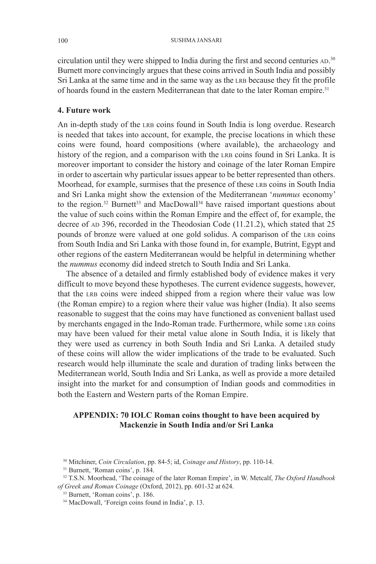circulation until they were shipped to India during the first and second centuries AD. 30 Burnett more convincingly argues that these coins arrived in South India and possibly Sri Lanka at the same time and in the same way as the LRB because they fit the profile of hoards found in the eastern Mediterranean that date to the later Roman empire.<sup>31</sup>

### **4. Future work**

An in-depth study of the LRB coins found in South India is long overdue. Research is needed that takes into account, for example, the precise locations in which these coins were found, hoard compositions (where available), the archaeology and history of the region, and a comparison with the LRB coins found in Sri Lanka. It is moreover important to consider the history and coinage of the later Roman Empire in order to ascertain why particular issues appear to be better represented than others. Moorhead, for example, surmises that the presence of these LRB coins in South India and Sri Lanka might show the extension of the Mediterranean '*nummus* economy' to the region.<sup>32</sup> Burnett<sup>33</sup> and MacDowall<sup>34</sup> have raised important questions about the value of such coins within the Roman Empire and the effect of, for example, the decree of AD 396, recorded in the Theodosian Code (11.21.2), which stated that 25 pounds of bronze were valued at one gold solidus. A comparison of the LRB coins from South India and Sri Lanka with those found in, for example, Butrint, Egypt and other regions of the eastern Mediterranean would be helpful in determining whether the *nummus* economy did indeed stretch to South India and Sri Lanka.

The absence of a detailed and firmly established body of evidence makes it very difficult to move beyond these hypotheses. The current evidence suggests, however, that the LRB coins were indeed shipped from a region where their value was low (the Roman empire) to a region where their value was higher (India). It also seems reasonable to suggest that the coins may have functioned as convenient ballast used by merchants engaged in the Indo-Roman trade. Furthermore, while some LRB coins may have been valued for their metal value alone in South India, it is likely that they were used as currency in both South India and Sri Lanka. A detailed study of these coins will allow the wider implications of the trade to be evaluated. Such research would help illuminate the scale and duration of trading links between the Mediterranean world, South India and Sri Lanka, as well as provide a more detailed insight into the market for and consumption of Indian goods and commodities in both the Eastern and Western parts of the Roman Empire.

# **APPENDIX: 70 IOLC Roman coins thought to have been acquired by Mackenzie in South India and/or Sri Lanka**

<sup>30</sup> Mitchiner, *Coin Circulation*, pp. 84-5; id, *Coinage and History*, pp. 110-14.

<sup>31</sup> Burnett, 'Roman coins', p. 184.

<sup>32</sup> T.S.N. Moorhead, 'The coinage of the later Roman Empire', in W. Metcalf, *The Oxford Handbook of Greek and Roman Coinage* (Oxford, 2012), pp. 601-32 at 624.

<sup>33</sup> Burnett, 'Roman coins', p. 186.

<sup>34</sup> MacDowall, 'Foreign coins found in India', p. 13.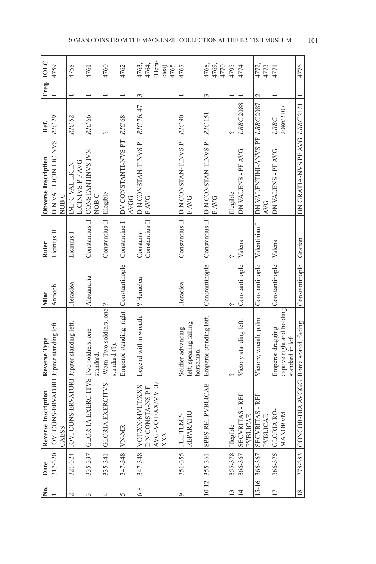| Ż.              | Date         | <b>Reverse Inscription</b>                                 | Reverse Type                                                       | Mint           | Ruler                       | Obverse Inscription                          | Ref.                     | Freq. IOLC    |                         |
|-----------------|--------------|------------------------------------------------------------|--------------------------------------------------------------------|----------------|-----------------------------|----------------------------------------------|--------------------------|---------------|-------------------------|
|                 |              | 317-320 IOVI CONS-ERVATORI Jupiter standing left.<br>CAESS |                                                                    | Antioch        | Licinius II                 | D N VAL LICIN LICINVS<br>NOB <sub>C</sub>    | <b>RIC 29</b>            |               | 4759                    |
| $\mathcal{C}$   |              | 321-324  IOVI CONS-ERVATORI Jupiter standing left.         |                                                                    | Heraclea       | Licinius I                  | <b>LICINIVS P F AVG</b><br>IMP C VAL LICIN   | <b>RIC 52</b>            |               | 4758                    |
| 3               | 335-337      | GLOR-IA EXERC-ITVS Two soldiers, one                       | standard                                                           | Alexandria     | Constantius II              | CONSTANTINVS IVN<br>NOB <sub>C</sub>         | <b>RIC 66</b>            |               | 4761                    |
| 4               | 335-341      | <b>LVS</b><br><b>GLORIA EXERCI</b>                         | Worn. Two soldiers, one <sup>[2</sup> ]<br>standard (?)            |                | Constantius II              | Illegible                                    | $\sim$                   |               | 4760                    |
| 5               | 347-348      | <b>VN-MR</b>                                               | Emperor standing right.                                            | Constantinople | Constantine I               | DV CONSTANTI-NVS PT<br><b>AVGG</b>           | RIC 68                   |               | 4762                    |
| $6 - 8$         | 347-348      | XX<br>P<br><b>VOT/XX/MVLT/X</b><br>D N CONSTA-NS           | Legend within wreath.                                              | ? Heraclea     | Constantius II<br>Constans- | D N CONSTAN-TINVS P<br><b>FAVG</b>           | RIC 76, 47               | 3             | 4763,<br>4764,          |
|                 |              | AVG~VOT/XX/MVLT/<br>XXX                                    |                                                                    |                |                             |                                              |                          |               | (Hera-<br>4765<br>clea) |
| $\circ$         | 351-355      | REPARATIO<br>FEL TEMP-                                     | left, spearing falling<br>Soldier advancing<br>horseman.           | Heraclea       |                             | Constantius II D N CONSTAN-TINVS P<br>F AVG  | RIC <sub>90</sub>        |               | 4767                    |
| $10 - 12$       | 355-361      | <b>EK</b><br>SPES REI-PVBLI                                | Emperor standing left.                                             | Constantinople | Constantius II              | D N CONSTAN-TINVS P<br>F AVG                 | RIC 151                  | 3             | 4769,<br>4768,<br>4770  |
| $\mathbf{13}$   | 355-378      | Illegible                                                  |                                                                    |                | ᠭ                           | Illegible                                    |                          |               | 4795                    |
| $\overline{4}$  | 366-367      | SECVRITAS - REI<br>PVBLICAE                                | Victory standing left.                                             | Constantinople | Valens                      | DN VALENS - PF AVG                           | <b>LRBC 2088</b>         |               | 4774                    |
| $15 - 16$       | 366-367      | -REI<br><b>SECVRITAS</b><br>PVBLICAE                       | Victory, wreath, palm.                                             | Constantinople | Valentinian I               | DN VALENTINI-ANVS PF LRBC 2087<br><b>AVG</b> |                          | $\mathcal{L}$ | 4772,<br>4773           |
| $\overline{17}$ | 366-375      | GLORIA RO-<br>MANORVM                                      | captive right and holding<br>Emperor dragging<br>standard in left. | Constantinople | Valens                      | DN VALENS - PF AVG                           | 2086/2107<br><b>LRBC</b> |               | 4771                    |
| $\frac{8}{18}$  | $ 378 - 383$ | CONCOR-DIA AVGGG Roma seated, facing.                      |                                                                    | Constantinople | Gratian                     | DN GRATIA-NVS PF AVG LRBC 2121               |                          |               | 4776                    |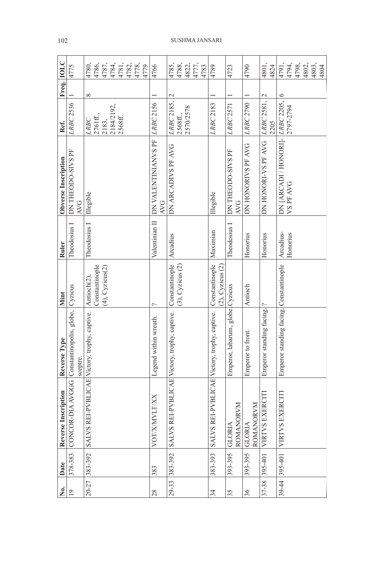| غ<br>گ         | Date          | Reverse Inscription                               | Reverse Type                             | Mint                                                              | Ruler                 | Obverse Inscription                           | Ref.                                                | Freq. IOLC    |                                                |
|----------------|---------------|---------------------------------------------------|------------------------------------------|-------------------------------------------------------------------|-----------------------|-----------------------------------------------|-----------------------------------------------------|---------------|------------------------------------------------|
| $\overline{0}$ | 378-383       | CONCOR-DIA AVGGG Constantinopolis, globe, Cyzicus | sceptre.                                 |                                                                   | Theodosius I          | DN THEODO-SIVS PF<br><b>AVG</b>               | LRBC 2536                                           |               | 4775                                           |
|                | 20-27 383-392 | <b>SALVS REI-PVBL</b>                             | ICAE Victory, trophy, captive.           | Constantinople<br>$(4)$ , Cyzicus $(2)$<br>Antioch <sub>(2)</sub> | Theodosius I          | Illegible                                     | 2184/2192,<br>LRBC<br>2761 ff.,<br>2568ff.<br>2183, | $\infty$      |                                                |
| 28             | 383           | VOT/X/MVLT/XX                                     | Legend within wreath.                    | پ                                                                 | Valentinian II        | DN VALENTINIANVS PF<br><b>AVG</b>             | LRBC 2156                                           |               | 4766                                           |
|                | 29-33 383-392 | <b>SALVS REI-PVBL</b>                             | ICAE Victory, trophy, captive.           | Constantinople<br>$(3)$ , Cyzicus $(2)$                           | Arcadius              | DN ARCADIVS PF AVG                            | LRBC 2185,<br>2570/2578<br>2568ff.,                 | $\mathcal{L}$ | 4785,<br>4788,<br>4822,<br>4777,<br>4783       |
| 34             | 383-393       | SALVS REI-PVBL                                    | ICAE Victory, trophy, captive.           | Constantinople<br>$(2)$ , Cyzicus $(2)$                           | Maximian              | Illegible                                     | LRBC 2183                                           |               | 4789                                           |
| 35             | 393-395       | ROMANORVM<br><b>GLORIA</b>                        | Emperor, labarum, globe. Cyzicus         |                                                                   | Theodosius I          | DN THEODO-SIVS PF<br><b>AVG</b>               | <b>LRBC 2571</b>                                    |               | 4723                                           |
| 36             | 393-395       | ROMANORVM<br><b>GLORIA</b>                        | Emperor to front.                        | Antioch                                                           | Honorius              | DN HONORIVS PF AVG                            | LRBC 2790                                           |               | 4790                                           |
| $37 - 38$      | 395-401       | VIRTVS EXERCIT                                    | Emperor standing facing. <sup>[2</sup> ] |                                                                   | Honorius              | DN HONORI-VS PF AVG                           | LRBC 2581, 2<br>2205                                |               | 4801,<br>4824                                  |
|                |               | 39-44 395-401 VIRTVS EXERCITI                     | Emperor standing facing. Constantinople  |                                                                   | Arcadius-<br>Honorius | DN [ARCADI / HONORI]- LRBC 2205,<br>VS PF AVG | 2797-2794                                           | $\circ$       | 4791,<br>4798,<br>4798, 2802,<br>4802,<br>4804 |

## 102 SUSHMA JANSARI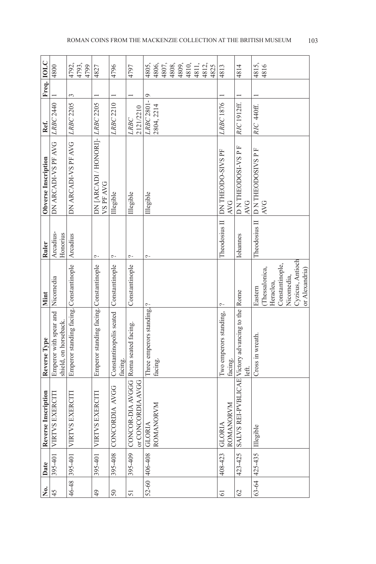| 。<br>No.      | Date                 | Reverse Inscription                                       | Reverse Type                                    | Mint             | Ruler                 | Obverse Inscription                        | Ref.                     | Freq. IOLC |                        |
|---------------|----------------------|-----------------------------------------------------------|-------------------------------------------------|------------------|-----------------------|--------------------------------------------|--------------------------|------------|------------------------|
| 45            | 395-401              | VIRTVS EXERCITI                                           | Emperor with spear and<br>shield, on horseback. | Nicomedia        | Arcadius-<br>Honorius | DN ARCADI-VS PF AVG                        | LRBC 2440                |            | 4800                   |
| $46 - 48$     | 395-401              | <b>VIRTVS EXERCITI</b>                                    | Emperor standing facing. Constantinople         |                  | Arcadius              | DN ARCADI-VS PF AVG                        | <b>LRBC 2205</b>         | 3          | 4792,<br>4793,<br>4799 |
| 49            | 395-401              | <b>VIRTVS EXERCITI</b>                                    | Emperor standing facing. Constantinople         |                  | Ç.                    | DN [ARCADI / HONORI]- LRBC 2205<br>VSPFAVG |                          |            | 4827                   |
| 50            | 395-408              | CONCORDIA AVGG                                            | Constantinopolis seated<br>facing.              | Constantinople   | ç.                    | Illegible                                  | LRBC 2210                |            | 4796                   |
| 51            | 395-409              | CONCOR-DIA AVGGG Roma seated facing.<br>or CONCORDIA AVGG |                                                 | Constantinople   | Ç.                    | Illegible                                  | 2121/2210<br><b>LRBC</b> |            | 4797                   |
|               | 52-60 406-408 GLORIA |                                                           | Three emperors standing, ?                      |                  | ب                     | Illegible                                  | LRBC 2801-               | $\circ$    | 4805,                  |
|               |                      | ROMANORVM                                                 | facing.                                         |                  |                       |                                            | 2804, 2214               |            | 4806,<br>4807,         |
|               |                      |                                                           |                                                 |                  |                       |                                            |                          |            | 4808,                  |
|               |                      |                                                           |                                                 |                  |                       |                                            |                          |            | 4809,<br>4810,         |
|               |                      |                                                           |                                                 |                  |                       |                                            |                          |            | 14811,                 |
|               |                      |                                                           |                                                 |                  |                       |                                            |                          |            | 4812,                  |
|               |                      |                                                           |                                                 |                  |                       |                                            |                          |            | 4825                   |
| 61            | 408-423              | ROMANORVM<br><b>GLORIA</b>                                | Two emperors standing,<br>facing.               | م                | Theodosius II         | DN THEODO-SIVS PF<br><b>AVG</b>            | LRBC 1876                |            | 4813                   |
| $\mathcal{O}$ | 423-425              | SALVS REI-PVBI                                            | ICAE Victory advancing to the Rome<br>left.     |                  | Iohannes              | D N THEODOSI-VS P F<br><b>AVG</b>          | RIC 1912ff.              |            | 4814                   |
|               | $63 - 64$ 425-435    | Illegible                                                 | Cross in wreath.                                | Eastern          | Theodosius II         | <b>DN THEODOSIVS P F</b>                   | RIC 440ff.               |            | 4815,                  |
|               |                      |                                                           |                                                 | Thessalonica,    |                       | <b>AVG</b>                                 |                          |            | 4816                   |
|               |                      |                                                           |                                                 | Heraclea,        |                       |                                            |                          |            |                        |
|               |                      |                                                           |                                                 | Constantinople,  |                       |                                            |                          |            |                        |
|               |                      |                                                           |                                                 | Nicomedia,       |                       |                                            |                          |            |                        |
|               |                      |                                                           |                                                 | Cyzicus, Antioch |                       |                                            |                          |            |                        |
|               |                      |                                                           |                                                 | or Alexandria)   |                       |                                            |                          |            |                        |